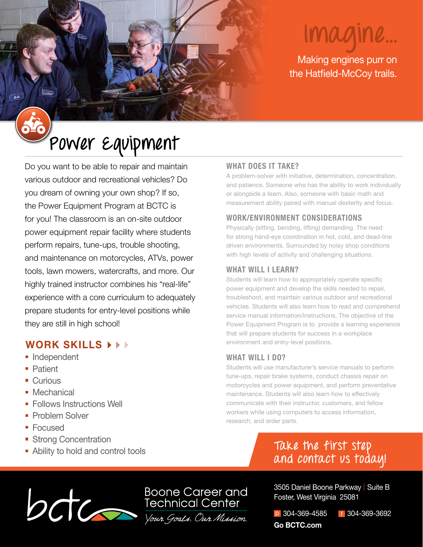# **Imagine...**

Making engines purr on the Hatfield-McCoy trails.

## **Power Equipment**

Do you want to be able to repair and maintain various outdoor and recreational vehicles? Do you dream of owning your own shop? If so, the Power Equipment Program at BCTC is for you! The classroom is an on-site outdoor power equipment repair facility where students perform repairs, tune-ups, trouble shooting, and maintenance on motorcycles, ATVs, power tools, lawn mowers, watercrafts, and more. Our highly trained instructor combines his "real-life" experience with a core curriculum to adequately prepare students for entry-level positions while they are still in high school!

## **WORK SKILLS**

- Independent
- **Patient**
- Curious
- **Mechanical**
- **Follows Instructions Well**
- Problem Solver
- Focused
- **Strong Concentration**
- Ability to hold and control tools

### **WHAT DOES IT TAKE?**

A problem-solver with initiative, determination, concentration, and patience. Someone who has the ability to work individually or alongside a team. Also, someone with basic math and measurement ability paired with manual dexterity and focus.

### **WORK/ENVIRONMENT CONSIDERATIONS**

Physically (sitting, bending, lifting) demanding. The need for strong hand-eye coordination in hot, cold, and dead-line driven environments. Surrounded by noisy shop conditions with high levels of activity and challenging situations.

### **WHAT WILL I LEARN?**

Students will learn how to appropriately operate specific power equipment and develop the skills needed to repair, troubleshoot, and maintain various outdoor and recreational vehicles. Students will also learn how to read and comprehend service manual information/instructions. The objective of the Power Equipment Program is to provide a learning experience that will prepare students for success in a workplace environment and entry-level positions.

### **WHAT WILL I DO?**

Students will use manufacturer's service manuals to perform tune-ups, repair brake systems, conduct chassis repair on motorcycles and power equipment, and perform preventative maintenance. Students will also learn how to effectively communicate with their instructor, customers, and fellow workers while using computers to access information, research, and order parts.

## **Take the first step and contact us today!**



3505 Daniel Boone Parkway | Suite B Foster, West Virginia 25081

p 304-369-4585 f 304-369-3692 **Go BCTC.com**